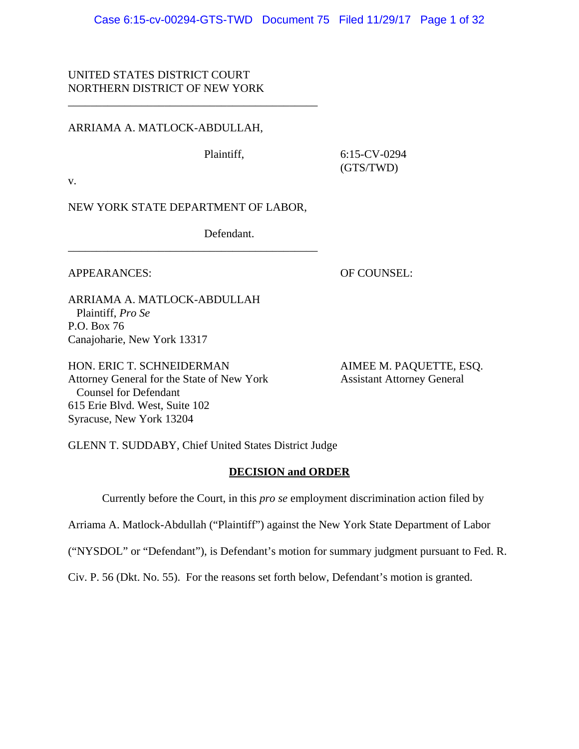Case 6:15-cv-00294-GTS-TWD Document 75 Filed 11/29/17 Page 1 of 32

# UNITED STATES DISTRICT COURT NORTHERN DISTRICT OF NEW YORK

## ARRIAMA A. MATLOCK-ABDULLAH,

Plaintiff, 6:15-CV-0294 (GTS/TWD)

v.

NEW YORK STATE DEPARTMENT OF LABOR,

\_\_\_\_\_\_\_\_\_\_\_\_\_\_\_\_\_\_\_\_\_\_\_\_\_\_\_\_\_\_\_\_\_\_\_\_\_\_\_\_\_\_\_\_

\_\_\_\_\_\_\_\_\_\_\_\_\_\_\_\_\_\_\_\_\_\_\_\_\_\_\_\_\_\_\_\_\_\_\_\_\_\_\_\_\_\_\_\_

Defendant.

APPEARANCES: OF COUNSEL:

ARRIAMA A. MATLOCK-ABDULLAH Plaintiff, *Pro Se* P.O. Box 76 Canajoharie, New York 13317

HON. ERIC T. SCHNEIDERMAN AIMEE M. PAQUETTE, ESQ. Attorney General for the State of New York Assistant Attorney General Counsel for Defendant 615 Erie Blvd. West, Suite 102 Syracuse, New York 13204

GLENN T. SUDDABY, Chief United States District Judge

# **DECISION and ORDER**

Currently before the Court, in this *pro se* employment discrimination action filed by

Arriama A. Matlock-Abdullah ("Plaintiff") against the New York State Department of Labor

("NYSDOL" or "Defendant"), is Defendant's motion for summary judgment pursuant to Fed. R.

Civ. P. 56 (Dkt. No. 55). For the reasons set forth below, Defendant's motion is granted.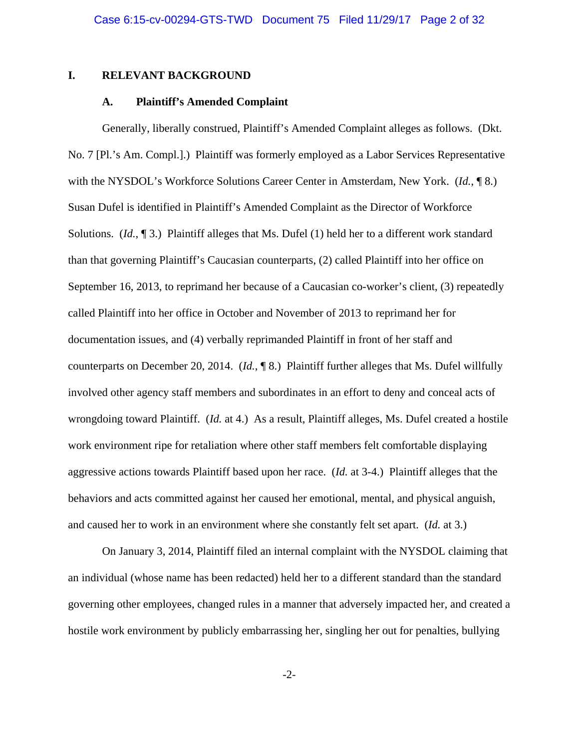## **I. RELEVANT BACKGROUND**

## **A. Plaintiff's Amended Complaint**

Generally, liberally construed, Plaintiff's Amended Complaint alleges as follows. (Dkt. No. 7 [Pl.'s Am. Compl.].) Plaintiff was formerly employed as a Labor Services Representative with the NYSDOL's Workforce Solutions Career Center in Amsterdam, New York. (*Id.*, ¶ 8.) Susan Dufel is identified in Plaintiff's Amended Complaint as the Director of Workforce Solutions. (*Id.*, 13.) Plaintiff alleges that Ms. Dufel (1) held her to a different work standard than that governing Plaintiff's Caucasian counterparts, (2) called Plaintiff into her office on September 16, 2013, to reprimand her because of a Caucasian co-worker's client, (3) repeatedly called Plaintiff into her office in October and November of 2013 to reprimand her for documentation issues, and (4) verbally reprimanded Plaintiff in front of her staff and counterparts on December 20, 2014. (*Id.*, ¶ 8.) Plaintiff further alleges that Ms. Dufel willfully involved other agency staff members and subordinates in an effort to deny and conceal acts of wrongdoing toward Plaintiff. (*Id.* at 4.) As a result, Plaintiff alleges, Ms. Dufel created a hostile work environment ripe for retaliation where other staff members felt comfortable displaying aggressive actions towards Plaintiff based upon her race. (*Id.* at 3-4.) Plaintiff alleges that the behaviors and acts committed against her caused her emotional, mental, and physical anguish, and caused her to work in an environment where she constantly felt set apart. (*Id.* at 3.)

On January 3, 2014, Plaintiff filed an internal complaint with the NYSDOL claiming that an individual (whose name has been redacted) held her to a different standard than the standard governing other employees, changed rules in a manner that adversely impacted her, and created a hostile work environment by publicly embarrassing her, singling her out for penalties, bullying

-2-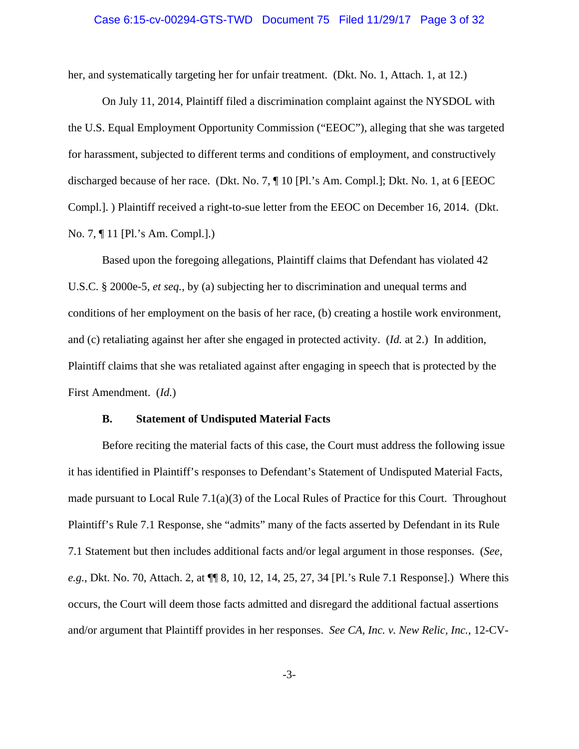# Case 6:15-cv-00294-GTS-TWD Document 75 Filed 11/29/17 Page 3 of 32

her, and systematically targeting her for unfair treatment. (Dkt. No. 1, Attach. 1, at 12.)

On July 11, 2014, Plaintiff filed a discrimination complaint against the NYSDOL with the U.S. Equal Employment Opportunity Commission ("EEOC"), alleging that she was targeted for harassment, subjected to different terms and conditions of employment, and constructively discharged because of her race. (Dkt. No. 7, ¶ 10 [Pl.'s Am. Compl.]; Dkt. No. 1, at 6 [EEOC Compl.]. ) Plaintiff received a right-to-sue letter from the EEOC on December 16, 2014. (Dkt. No. 7, ¶ 11 [Pl.'s Am. Compl.].)

Based upon the foregoing allegations, Plaintiff claims that Defendant has violated 42 U.S.C. § 2000e-5, *et seq.*, by (a) subjecting her to discrimination and unequal terms and conditions of her employment on the basis of her race, (b) creating a hostile work environment, and (c) retaliating against her after she engaged in protected activity. (*Id.* at 2.) In addition, Plaintiff claims that she was retaliated against after engaging in speech that is protected by the First Amendment. (*Id.*)

## **B. Statement of Undisputed Material Facts**

Before reciting the material facts of this case, the Court must address the following issue it has identified in Plaintiff's responses to Defendant's Statement of Undisputed Material Facts, made pursuant to Local Rule  $7.1(a)(3)$  of the Local Rules of Practice for this Court. Throughout Plaintiff's Rule 7.1 Response, she "admits" many of the facts asserted by Defendant in its Rule 7.1 Statement but then includes additional facts and/or legal argument in those responses. (*See*, *e.g.*, Dkt. No. 70, Attach. 2, at  $\P\P$  8, 10, 12, 14, 25, 27, 34 [Pl.'s Rule 7.1 Response].) Where this occurs, the Court will deem those facts admitted and disregard the additional factual assertions and/or argument that Plaintiff provides in her responses. *See CA, Inc. v. New Relic, Inc.*, 12-CV-

-3-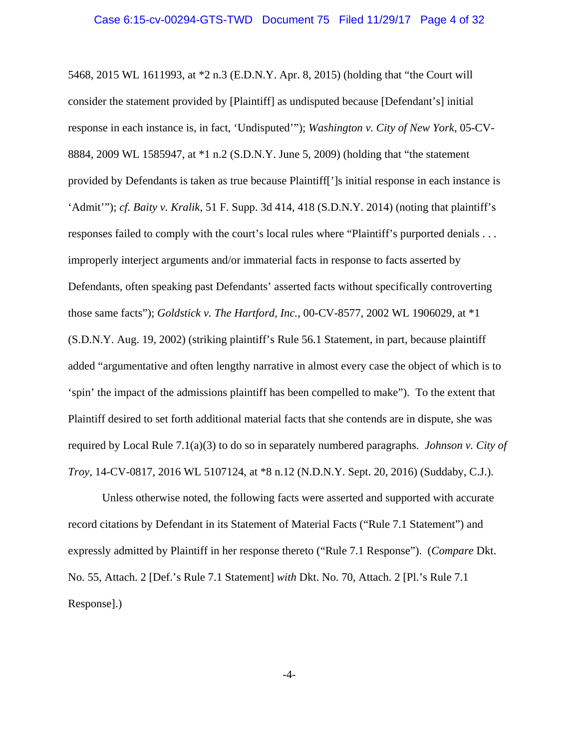5468, 2015 WL 1611993, at \*2 n.3 (E.D.N.Y. Apr. 8, 2015) (holding that "the Court will consider the statement provided by [Plaintiff] as undisputed because [Defendant's] initial response in each instance is, in fact, 'Undisputed'"); *Washington v. City of New York*, 05-CV-8884, 2009 WL 1585947, at \*1 n.2 (S.D.N.Y. June 5, 2009) (holding that "the statement provided by Defendants is taken as true because Plaintiff[']s initial response in each instance is 'Admit'"); *cf. Baity v. Kralik*, 51 F. Supp. 3d 414, 418 (S.D.N.Y. 2014) (noting that plaintiff's responses failed to comply with the court's local rules where "Plaintiff's purported denials . . . improperly interject arguments and/or immaterial facts in response to facts asserted by Defendants, often speaking past Defendants' asserted facts without specifically controverting those same facts"); *Goldstick v. The Hartford, Inc.*, 00-CV-8577, 2002 WL 1906029, at \*1 (S.D.N.Y. Aug. 19, 2002) (striking plaintiff's Rule 56.1 Statement, in part, because plaintiff added "argumentative and often lengthy narrative in almost every case the object of which is to 'spin' the impact of the admissions plaintiff has been compelled to make"). To the extent that Plaintiff desired to set forth additional material facts that she contends are in dispute, she was required by Local Rule 7.1(a)(3) to do so in separately numbered paragraphs. *Johnson v. City of Troy*, 14-CV-0817, 2016 WL 5107124, at \*8 n.12 (N.D.N.Y. Sept. 20, 2016) (Suddaby, C.J.).

Unless otherwise noted, the following facts were asserted and supported with accurate record citations by Defendant in its Statement of Material Facts ("Rule 7.1 Statement") and expressly admitted by Plaintiff in her response thereto ("Rule 7.1 Response"). (*Compare* Dkt. No. 55, Attach. 2 [Def.'s Rule 7.1 Statement] *with* Dkt. No. 70, Attach. 2 [Pl.'s Rule 7.1 Response].)

-4-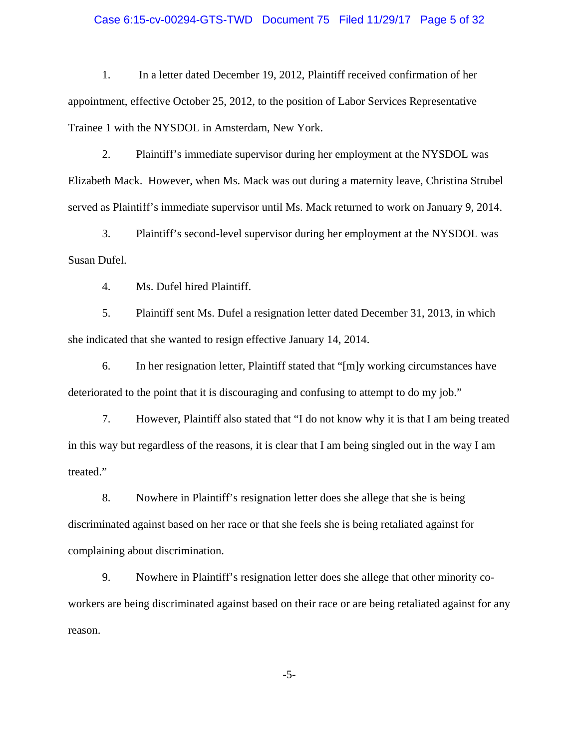## Case 6:15-cv-00294-GTS-TWD Document 75 Filed 11/29/17 Page 5 of 32

1. In a letter dated December 19, 2012, Plaintiff received confirmation of her appointment, effective October 25, 2012, to the position of Labor Services Representative Trainee 1 with the NYSDOL in Amsterdam, New York.

2. Plaintiff's immediate supervisor during her employment at the NYSDOL was Elizabeth Mack. However, when Ms. Mack was out during a maternity leave, Christina Strubel served as Plaintiff's immediate supervisor until Ms. Mack returned to work on January 9, 2014.

3. Plaintiff's second-level supervisor during her employment at the NYSDOL was Susan Dufel.

4. Ms. Dufel hired Plaintiff.

5. Plaintiff sent Ms. Dufel a resignation letter dated December 31, 2013, in which she indicated that she wanted to resign effective January 14, 2014.

6. In her resignation letter, Plaintiff stated that "[m]y working circumstances have deteriorated to the point that it is discouraging and confusing to attempt to do my job."

7. However, Plaintiff also stated that "I do not know why it is that I am being treated in this way but regardless of the reasons, it is clear that I am being singled out in the way I am treated."

8. Nowhere in Plaintiff's resignation letter does she allege that she is being discriminated against based on her race or that she feels she is being retaliated against for complaining about discrimination.

9. Nowhere in Plaintiff's resignation letter does she allege that other minority coworkers are being discriminated against based on their race or are being retaliated against for any reason.

-5-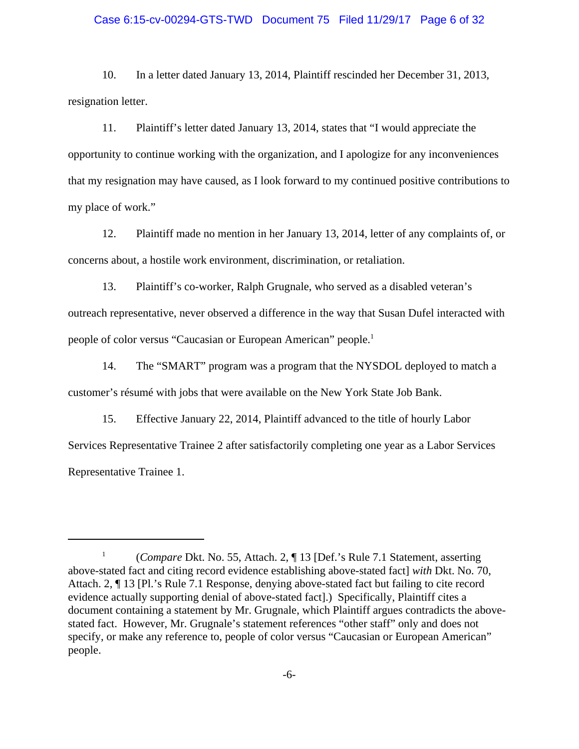#### Case 6:15-cv-00294-GTS-TWD Document 75 Filed 11/29/17 Page 6 of 32

10. In a letter dated January 13, 2014, Plaintiff rescinded her December 31, 2013, resignation letter.

11. Plaintiff's letter dated January 13, 2014, states that "I would appreciate the opportunity to continue working with the organization, and I apologize for any inconveniences that my resignation may have caused, as I look forward to my continued positive contributions to my place of work."

12. Plaintiff made no mention in her January 13, 2014, letter of any complaints of, or concerns about, a hostile work environment, discrimination, or retaliation.

13. Plaintiff's co-worker, Ralph Grugnale, who served as a disabled veteran's outreach representative, never observed a difference in the way that Susan Dufel interacted with people of color versus "Caucasian or European American" people.1

14. The "SMART" program was a program that the NYSDOL deployed to match a customer's résumé with jobs that were available on the New York State Job Bank.

15. Effective January 22, 2014, Plaintiff advanced to the title of hourly Labor Services Representative Trainee 2 after satisfactorily completing one year as a Labor Services Representative Trainee 1.

<sup>&</sup>lt;sup>1</sup> (*Compare* Dkt. No. 55, Attach. 2, ¶ 13 [Def.'s Rule 7.1 Statement, asserting above-stated fact and citing record evidence establishing above-stated fact] *with* Dkt. No. 70, Attach. 2, ¶ 13 [Pl.'s Rule 7.1 Response, denying above-stated fact but failing to cite record evidence actually supporting denial of above-stated fact].) Specifically, Plaintiff cites a document containing a statement by Mr. Grugnale, which Plaintiff argues contradicts the abovestated fact. However, Mr. Grugnale's statement references "other staff" only and does not specify, or make any reference to, people of color versus "Caucasian or European American" people.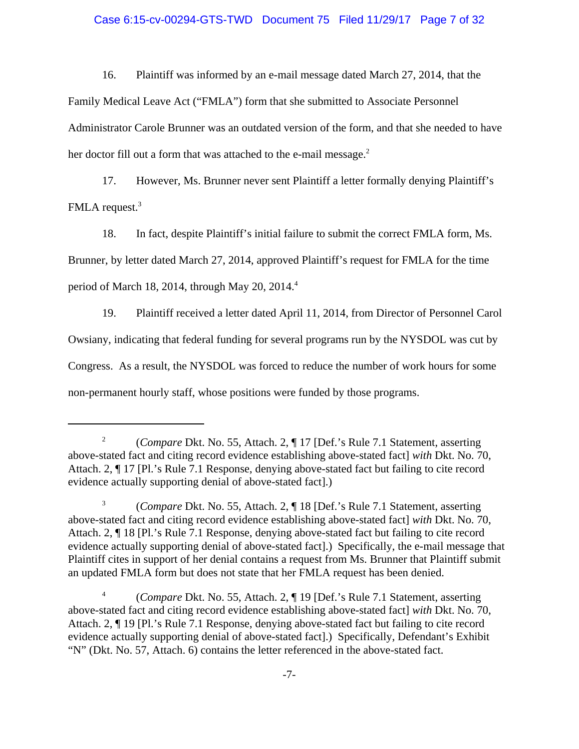# Case 6:15-cv-00294-GTS-TWD Document 75 Filed 11/29/17 Page 7 of 32

16. Plaintiff was informed by an e-mail message dated March 27, 2014, that the Family Medical Leave Act ("FMLA") form that she submitted to Associate Personnel Administrator Carole Brunner was an outdated version of the form, and that she needed to have her doctor fill out a form that was attached to the e-mail message.<sup>2</sup>

17. However, Ms. Brunner never sent Plaintiff a letter formally denying Plaintiff's FMLA request.<sup>3</sup>

18. In fact, despite Plaintiff's initial failure to submit the correct FMLA form, Ms. Brunner, by letter dated March 27, 2014, approved Plaintiff's request for FMLA for the time period of March 18, 2014, through May 20, 2014. $4$ 

19. Plaintiff received a letter dated April 11, 2014, from Director of Personnel Carol Owsiany, indicating that federal funding for several programs run by the NYSDOL was cut by Congress. As a result, the NYSDOL was forced to reduce the number of work hours for some non-permanent hourly staff, whose positions were funded by those programs.

<sup>2</sup> (*Compare* Dkt. No. 55, Attach. 2, ¶ 17 [Def.'s Rule 7.1 Statement, asserting above-stated fact and citing record evidence establishing above-stated fact] *with* Dkt. No. 70, Attach. 2, ¶ 17 [Pl.'s Rule 7.1 Response, denying above-stated fact but failing to cite record evidence actually supporting denial of above-stated fact].)

<sup>3</sup> (*Compare* Dkt. No. 55, Attach. 2, ¶ 18 [Def.'s Rule 7.1 Statement, asserting above-stated fact and citing record evidence establishing above-stated fact] *with* Dkt. No. 70, Attach. 2, ¶ 18 [Pl.'s Rule 7.1 Response, denying above-stated fact but failing to cite record evidence actually supporting denial of above-stated fact].) Specifically, the e-mail message that Plaintiff cites in support of her denial contains a request from Ms. Brunner that Plaintiff submit an updated FMLA form but does not state that her FMLA request has been denied.

<sup>4</sup> (*Compare* Dkt. No. 55, Attach. 2, ¶ 19 [Def.'s Rule 7.1 Statement, asserting above-stated fact and citing record evidence establishing above-stated fact] *with* Dkt. No. 70, Attach. 2, ¶ 19 [Pl.'s Rule 7.1 Response, denying above-stated fact but failing to cite record evidence actually supporting denial of above-stated fact].) Specifically, Defendant's Exhibit "N" (Dkt. No. 57, Attach. 6) contains the letter referenced in the above-stated fact.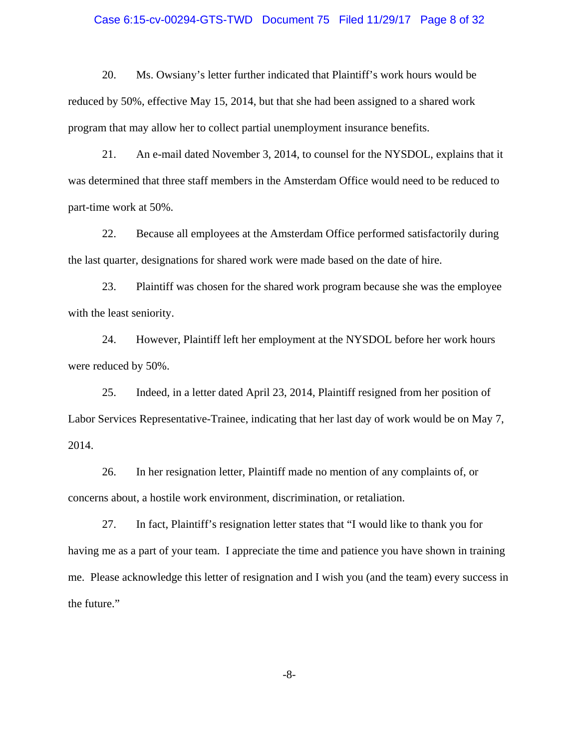## Case 6:15-cv-00294-GTS-TWD Document 75 Filed 11/29/17 Page 8 of 32

20. Ms. Owsiany's letter further indicated that Plaintiff's work hours would be reduced by 50%, effective May 15, 2014, but that she had been assigned to a shared work program that may allow her to collect partial unemployment insurance benefits.

21. An e-mail dated November 3, 2014, to counsel for the NYSDOL, explains that it was determined that three staff members in the Amsterdam Office would need to be reduced to part-time work at 50%.

22. Because all employees at the Amsterdam Office performed satisfactorily during the last quarter, designations for shared work were made based on the date of hire.

23. Plaintiff was chosen for the shared work program because she was the employee with the least seniority.

24. However, Plaintiff left her employment at the NYSDOL before her work hours were reduced by 50%.

25. Indeed, in a letter dated April 23, 2014, Plaintiff resigned from her position of Labor Services Representative-Trainee, indicating that her last day of work would be on May 7, 2014.

26. In her resignation letter, Plaintiff made no mention of any complaints of, or concerns about, a hostile work environment, discrimination, or retaliation.

27. In fact, Plaintiff's resignation letter states that "I would like to thank you for having me as a part of your team. I appreciate the time and patience you have shown in training me. Please acknowledge this letter of resignation and I wish you (and the team) every success in the future."

-8-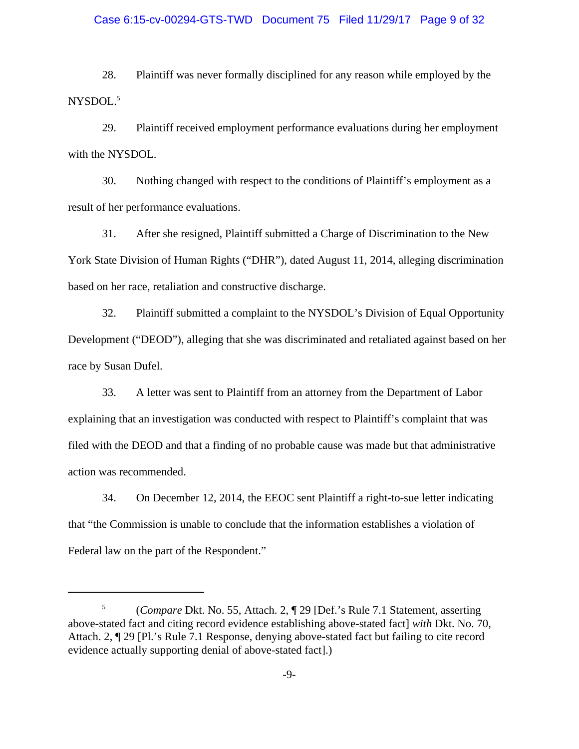## Case 6:15-cv-00294-GTS-TWD Document 75 Filed 11/29/17 Page 9 of 32

28. Plaintiff was never formally disciplined for any reason while employed by the NYSDOL.<sup>5</sup>

29. Plaintiff received employment performance evaluations during her employment with the NYSDOL.

30. Nothing changed with respect to the conditions of Plaintiff's employment as a result of her performance evaluations.

31. After she resigned, Plaintiff submitted a Charge of Discrimination to the New York State Division of Human Rights ("DHR"), dated August 11, 2014, alleging discrimination based on her race, retaliation and constructive discharge.

32. Plaintiff submitted a complaint to the NYSDOL's Division of Equal Opportunity Development ("DEOD"), alleging that she was discriminated and retaliated against based on her race by Susan Dufel.

33. A letter was sent to Plaintiff from an attorney from the Department of Labor explaining that an investigation was conducted with respect to Plaintiff's complaint that was filed with the DEOD and that a finding of no probable cause was made but that administrative action was recommended.

34. On December 12, 2014, the EEOC sent Plaintiff a right-to-sue letter indicating that "the Commission is unable to conclude that the information establishes a violation of Federal law on the part of the Respondent."

<sup>5</sup> (*Compare* Dkt. No. 55, Attach. 2, ¶ 29 [Def.'s Rule 7.1 Statement, asserting above-stated fact and citing record evidence establishing above-stated fact] *with* Dkt. No. 70, Attach. 2, ¶ 29 [Pl.'s Rule 7.1 Response, denying above-stated fact but failing to cite record evidence actually supporting denial of above-stated fact].)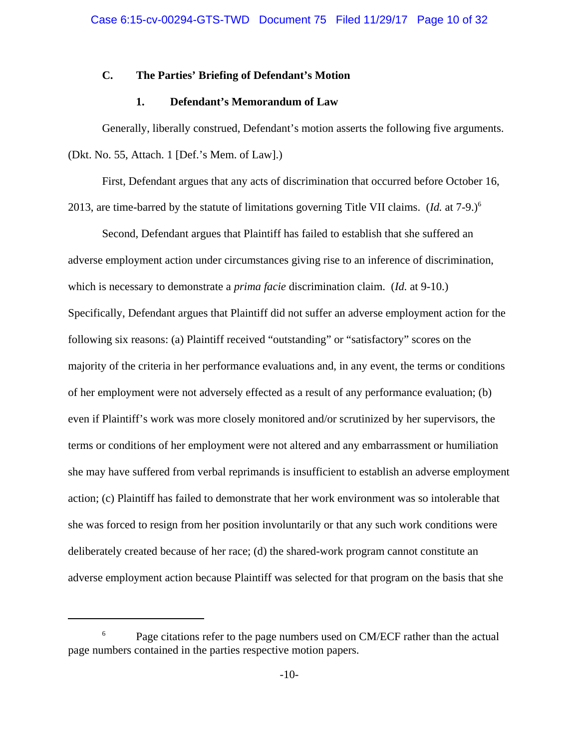## **C. The Parties' Briefing of Defendant's Motion**

## **1. Defendant's Memorandum of Law**

Generally, liberally construed, Defendant's motion asserts the following five arguments. (Dkt. No. 55, Attach. 1 [Def.'s Mem. of Law].)

First, Defendant argues that any acts of discrimination that occurred before October 16, 2013, are time-barred by the statute of limitations governing Title VII claims. (*Id.* at 7-9.)6

Second, Defendant argues that Plaintiff has failed to establish that she suffered an adverse employment action under circumstances giving rise to an inference of discrimination, which is necessary to demonstrate a *prima facie* discrimination claim. (*Id.* at 9-10.) Specifically, Defendant argues that Plaintiff did not suffer an adverse employment action for the following six reasons: (a) Plaintiff received "outstanding" or "satisfactory" scores on the majority of the criteria in her performance evaluations and, in any event, the terms or conditions of her employment were not adversely effected as a result of any performance evaluation; (b) even if Plaintiff's work was more closely monitored and/or scrutinized by her supervisors, the terms or conditions of her employment were not altered and any embarrassment or humiliation she may have suffered from verbal reprimands is insufficient to establish an adverse employment action; (c) Plaintiff has failed to demonstrate that her work environment was so intolerable that she was forced to resign from her position involuntarily or that any such work conditions were deliberately created because of her race; (d) the shared-work program cannot constitute an adverse employment action because Plaintiff was selected for that program on the basis that she

Page citations refer to the page numbers used on CM/ECF rather than the actual page numbers contained in the parties respective motion papers.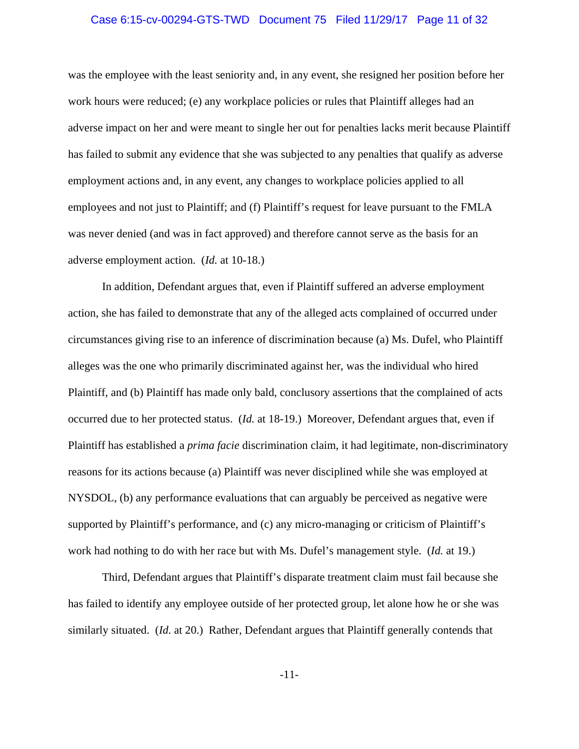## Case 6:15-cv-00294-GTS-TWD Document 75 Filed 11/29/17 Page 11 of 32

was the employee with the least seniority and, in any event, she resigned her position before her work hours were reduced; (e) any workplace policies or rules that Plaintiff alleges had an adverse impact on her and were meant to single her out for penalties lacks merit because Plaintiff has failed to submit any evidence that she was subjected to any penalties that qualify as adverse employment actions and, in any event, any changes to workplace policies applied to all employees and not just to Plaintiff; and (f) Plaintiff's request for leave pursuant to the FMLA was never denied (and was in fact approved) and therefore cannot serve as the basis for an adverse employment action. (*Id.* at 10-18.)

In addition, Defendant argues that, even if Plaintiff suffered an adverse employment action, she has failed to demonstrate that any of the alleged acts complained of occurred under circumstances giving rise to an inference of discrimination because (a) Ms. Dufel, who Plaintiff alleges was the one who primarily discriminated against her, was the individual who hired Plaintiff, and (b) Plaintiff has made only bald, conclusory assertions that the complained of acts occurred due to her protected status. (*Id.* at 18-19.) Moreover, Defendant argues that, even if Plaintiff has established a *prima facie* discrimination claim, it had legitimate, non-discriminatory reasons for its actions because (a) Plaintiff was never disciplined while she was employed at NYSDOL, (b) any performance evaluations that can arguably be perceived as negative were supported by Plaintiff's performance, and (c) any micro-managing or criticism of Plaintiff's work had nothing to do with her race but with Ms. Dufel's management style. (*Id.* at 19.)

Third, Defendant argues that Plaintiff's disparate treatment claim must fail because she has failed to identify any employee outside of her protected group, let alone how he or she was similarly situated. (*Id.* at 20.) Rather, Defendant argues that Plaintiff generally contends that

-11-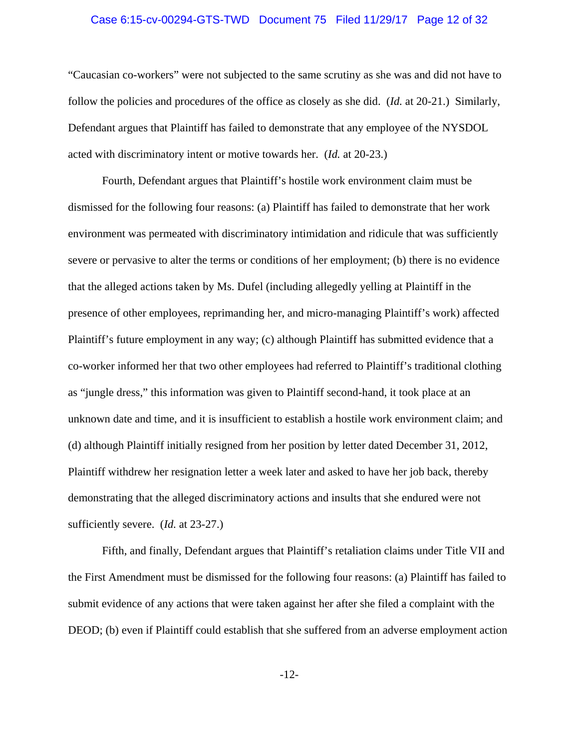## Case 6:15-cv-00294-GTS-TWD Document 75 Filed 11/29/17 Page 12 of 32

"Caucasian co-workers" were not subjected to the same scrutiny as she was and did not have to follow the policies and procedures of the office as closely as she did. (*Id.* at 20-21.) Similarly, Defendant argues that Plaintiff has failed to demonstrate that any employee of the NYSDOL acted with discriminatory intent or motive towards her. (*Id.* at 20-23.)

Fourth, Defendant argues that Plaintiff's hostile work environment claim must be dismissed for the following four reasons: (a) Plaintiff has failed to demonstrate that her work environment was permeated with discriminatory intimidation and ridicule that was sufficiently severe or pervasive to alter the terms or conditions of her employment; (b) there is no evidence that the alleged actions taken by Ms. Dufel (including allegedly yelling at Plaintiff in the presence of other employees, reprimanding her, and micro-managing Plaintiff's work) affected Plaintiff's future employment in any way; (c) although Plaintiff has submitted evidence that a co-worker informed her that two other employees had referred to Plaintiff's traditional clothing as "jungle dress," this information was given to Plaintiff second-hand, it took place at an unknown date and time, and it is insufficient to establish a hostile work environment claim; and (d) although Plaintiff initially resigned from her position by letter dated December 31, 2012, Plaintiff withdrew her resignation letter a week later and asked to have her job back, thereby demonstrating that the alleged discriminatory actions and insults that she endured were not sufficiently severe. (*Id.* at 23-27.)

Fifth, and finally, Defendant argues that Plaintiff's retaliation claims under Title VII and the First Amendment must be dismissed for the following four reasons: (a) Plaintiff has failed to submit evidence of any actions that were taken against her after she filed a complaint with the DEOD; (b) even if Plaintiff could establish that she suffered from an adverse employment action

-12-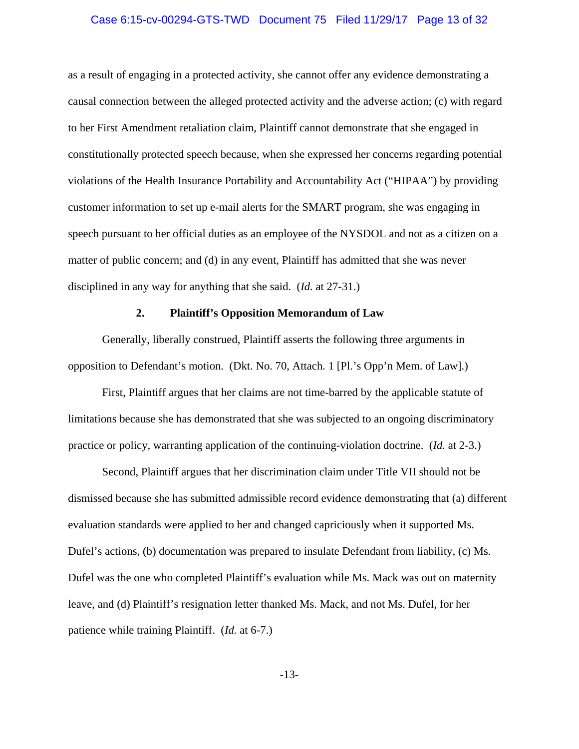## Case 6:15-cv-00294-GTS-TWD Document 75 Filed 11/29/17 Page 13 of 32

as a result of engaging in a protected activity, she cannot offer any evidence demonstrating a causal connection between the alleged protected activity and the adverse action; (c) with regard to her First Amendment retaliation claim, Plaintiff cannot demonstrate that she engaged in constitutionally protected speech because, when she expressed her concerns regarding potential violations of the Health Insurance Portability and Accountability Act ("HIPAA") by providing customer information to set up e-mail alerts for the SMART program, she was engaging in speech pursuant to her official duties as an employee of the NYSDOL and not as a citizen on a matter of public concern; and (d) in any event, Plaintiff has admitted that she was never disciplined in any way for anything that she said. (*Id.* at 27-31.)

## **2. Plaintiff's Opposition Memorandum of Law**

Generally, liberally construed, Plaintiff asserts the following three arguments in opposition to Defendant's motion. (Dkt. No. 70, Attach. 1 [Pl.'s Opp'n Mem. of Law].)

First, Plaintiff argues that her claims are not time-barred by the applicable statute of limitations because she has demonstrated that she was subjected to an ongoing discriminatory practice or policy, warranting application of the continuing-violation doctrine. (*Id.* at 2-3.)

Second, Plaintiff argues that her discrimination claim under Title VII should not be dismissed because she has submitted admissible record evidence demonstrating that (a) different evaluation standards were applied to her and changed capriciously when it supported Ms. Dufel's actions, (b) documentation was prepared to insulate Defendant from liability, (c) Ms. Dufel was the one who completed Plaintiff's evaluation while Ms. Mack was out on maternity leave, and (d) Plaintiff's resignation letter thanked Ms. Mack, and not Ms. Dufel, for her patience while training Plaintiff. (*Id.* at 6-7.)

-13-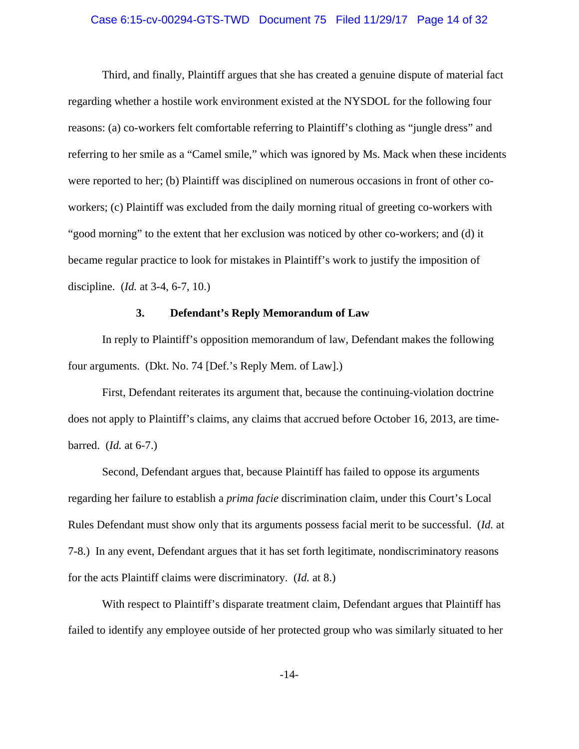## Case 6:15-cv-00294-GTS-TWD Document 75 Filed 11/29/17 Page 14 of 32

Third, and finally, Plaintiff argues that she has created a genuine dispute of material fact regarding whether a hostile work environment existed at the NYSDOL for the following four reasons: (a) co-workers felt comfortable referring to Plaintiff's clothing as "jungle dress" and referring to her smile as a "Camel smile," which was ignored by Ms. Mack when these incidents were reported to her; (b) Plaintiff was disciplined on numerous occasions in front of other coworkers; (c) Plaintiff was excluded from the daily morning ritual of greeting co-workers with "good morning" to the extent that her exclusion was noticed by other co-workers; and (d) it became regular practice to look for mistakes in Plaintiff's work to justify the imposition of discipline. (*Id.* at 3-4, 6-7, 10.)

## **3. Defendant's Reply Memorandum of Law**

In reply to Plaintiff's opposition memorandum of law, Defendant makes the following four arguments. (Dkt. No. 74 [Def.'s Reply Mem. of Law].)

First, Defendant reiterates its argument that, because the continuing-violation doctrine does not apply to Plaintiff's claims, any claims that accrued before October 16, 2013, are timebarred. (*Id.* at 6-7.)

Second, Defendant argues that, because Plaintiff has failed to oppose its arguments regarding her failure to establish a *prima facie* discrimination claim, under this Court's Local Rules Defendant must show only that its arguments possess facial merit to be successful. (*Id.* at 7-8.) In any event, Defendant argues that it has set forth legitimate, nondiscriminatory reasons for the acts Plaintiff claims were discriminatory. (*Id.* at 8.)

With respect to Plaintiff's disparate treatment claim, Defendant argues that Plaintiff has failed to identify any employee outside of her protected group who was similarly situated to her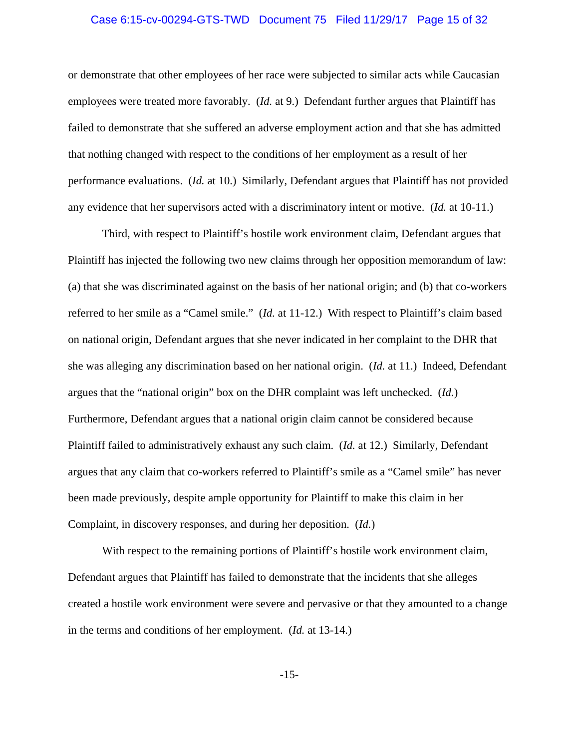## Case 6:15-cv-00294-GTS-TWD Document 75 Filed 11/29/17 Page 15 of 32

or demonstrate that other employees of her race were subjected to similar acts while Caucasian employees were treated more favorably. (*Id.* at 9.) Defendant further argues that Plaintiff has failed to demonstrate that she suffered an adverse employment action and that she has admitted that nothing changed with respect to the conditions of her employment as a result of her performance evaluations. (*Id.* at 10.) Similarly, Defendant argues that Plaintiff has not provided any evidence that her supervisors acted with a discriminatory intent or motive. (*Id.* at 10-11.)

Third, with respect to Plaintiff's hostile work environment claim, Defendant argues that Plaintiff has injected the following two new claims through her opposition memorandum of law: (a) that she was discriminated against on the basis of her national origin; and (b) that co-workers referred to her smile as a "Camel smile." (*Id.* at 11-12.) With respect to Plaintiff's claim based on national origin, Defendant argues that she never indicated in her complaint to the DHR that she was alleging any discrimination based on her national origin. (*Id.* at 11.) Indeed, Defendant argues that the "national origin" box on the DHR complaint was left unchecked. (*Id.*) Furthermore, Defendant argues that a national origin claim cannot be considered because Plaintiff failed to administratively exhaust any such claim. (*Id.* at 12.) Similarly, Defendant argues that any claim that co-workers referred to Plaintiff's smile as a "Camel smile" has never been made previously, despite ample opportunity for Plaintiff to make this claim in her Complaint, in discovery responses, and during her deposition. (*Id.*)

With respect to the remaining portions of Plaintiff's hostile work environment claim, Defendant argues that Plaintiff has failed to demonstrate that the incidents that she alleges created a hostile work environment were severe and pervasive or that they amounted to a change in the terms and conditions of her employment. (*Id.* at 13-14.)

-15-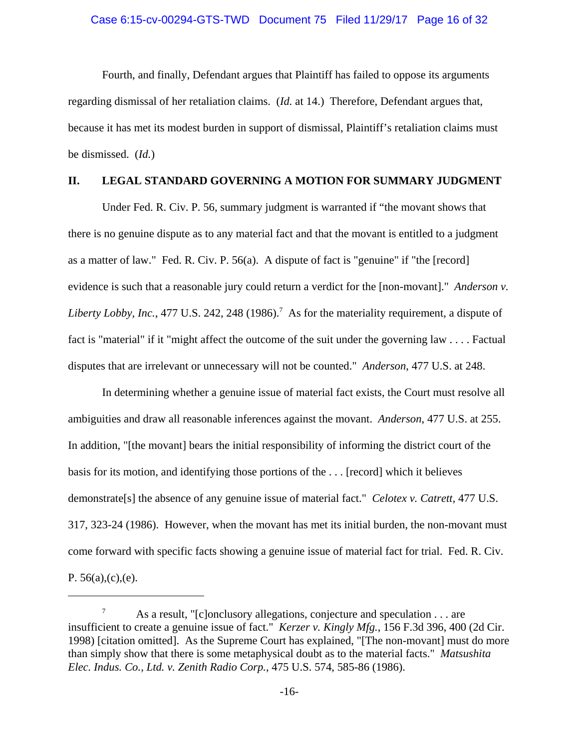Fourth, and finally, Defendant argues that Plaintiff has failed to oppose its arguments regarding dismissal of her retaliation claims. (*Id.* at 14.) Therefore, Defendant argues that, because it has met its modest burden in support of dismissal, Plaintiff's retaliation claims must be dismissed. (*Id.*)

## **II. LEGAL STANDARD GOVERNING A MOTION FOR SUMMARY JUDGMENT**

Under Fed. R. Civ. P. 56, summary judgment is warranted if "the movant shows that there is no genuine dispute as to any material fact and that the movant is entitled to a judgment as a matter of law." Fed. R. Civ. P. 56(a). A dispute of fact is "genuine" if "the [record] evidence is such that a reasonable jury could return a verdict for the [non-movant]." *Anderson v.* Liberty Lobby, Inc., 477 U.S. 242, 248 (1986).<sup>7</sup> As for the materiality requirement, a dispute of fact is "material" if it "might affect the outcome of the suit under the governing law . . . . Factual disputes that are irrelevant or unnecessary will not be counted." *Anderson*, 477 U.S. at 248.

In determining whether a genuine issue of material fact exists, the Court must resolve all ambiguities and draw all reasonable inferences against the movant. *Anderson*, 477 U.S. at 255. In addition, "[the movant] bears the initial responsibility of informing the district court of the basis for its motion, and identifying those portions of the . . . [record] which it believes demonstrate[s] the absence of any genuine issue of material fact." *Celotex v. Catrett*, 477 U.S. 317, 323-24 (1986). However, when the movant has met its initial burden, the non-movant must come forward with specific facts showing a genuine issue of material fact for trial. Fed. R. Civ. P.  $56(a)$ , $(c)$ , $(e)$ .

<sup>&</sup>lt;sup>7</sup> As a result, "[c]onclusory allegations, conjecture and speculation  $\dots$  are insufficient to create a genuine issue of fact." *Kerzer v. Kingly Mfg.*, 156 F.3d 396, 400 (2d Cir. 1998) [citation omitted]. As the Supreme Court has explained, "[The non-movant] must do more than simply show that there is some metaphysical doubt as to the material facts." *Matsushita Elec. Indus. Co., Ltd. v. Zenith Radio Corp.*, 475 U.S. 574, 585-86 (1986).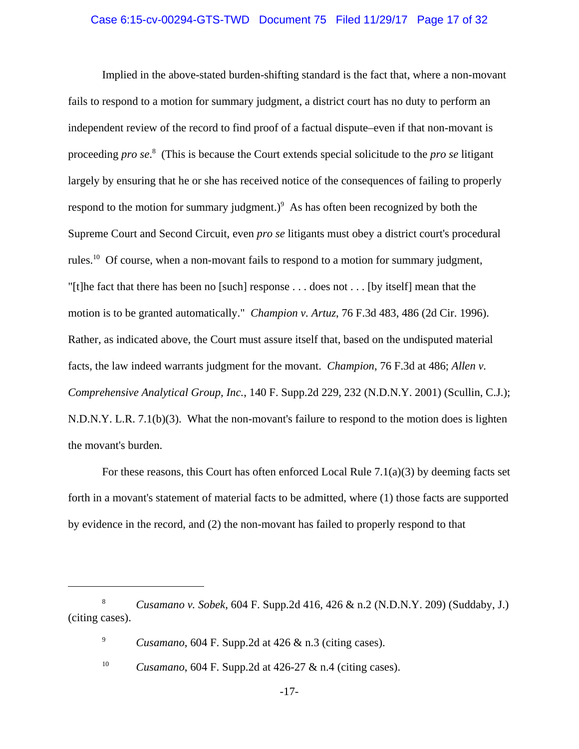## Case 6:15-cv-00294-GTS-TWD Document 75 Filed 11/29/17 Page 17 of 32

Implied in the above-stated burden-shifting standard is the fact that, where a non-movant fails to respond to a motion for summary judgment, a district court has no duty to perform an independent review of the record to find proof of a factual dispute–even if that non-movant is proceeding *pro se*. 8 (This is because the Court extends special solicitude to the *pro se* litigant largely by ensuring that he or she has received notice of the consequences of failing to properly respond to the motion for summary judgment.) $9$  As has often been recognized by both the Supreme Court and Second Circuit, even *pro se* litigants must obey a district court's procedural rules.<sup>10</sup> Of course, when a non-movant fails to respond to a motion for summary judgment, "[t]he fact that there has been no [such] response  $\dots$  does not  $\dots$  [by itself] mean that the motion is to be granted automatically." *Champion v. Artuz*, 76 F.3d 483, 486 (2d Cir. 1996). Rather, as indicated above, the Court must assure itself that, based on the undisputed material facts, the law indeed warrants judgment for the movant. *Champion*, 76 F.3d at 486; *Allen v. Comprehensive Analytical Group, Inc.*, 140 F. Supp.2d 229, 232 (N.D.N.Y. 2001) (Scullin, C.J.); N.D.N.Y. L.R. 7.1(b)(3). What the non-movant's failure to respond to the motion does is lighten the movant's burden.

For these reasons, this Court has often enforced Local Rule 7.1(a)(3) by deeming facts set forth in a movant's statement of material facts to be admitted, where (1) those facts are supported by evidence in the record, and (2) the non-movant has failed to properly respond to that

<sup>8</sup> *Cusamano v. Sobek*, 604 F. Supp.2d 416, 426 & n.2 (N.D.N.Y. 209) (Suddaby, J.) (citing cases).

<sup>9</sup> *Cusamano*, 604 F. Supp.2d at 426 & n.3 (citing cases).

<sup>10</sup> *Cusamano*, 604 F. Supp.2d at 426-27 & n.4 (citing cases).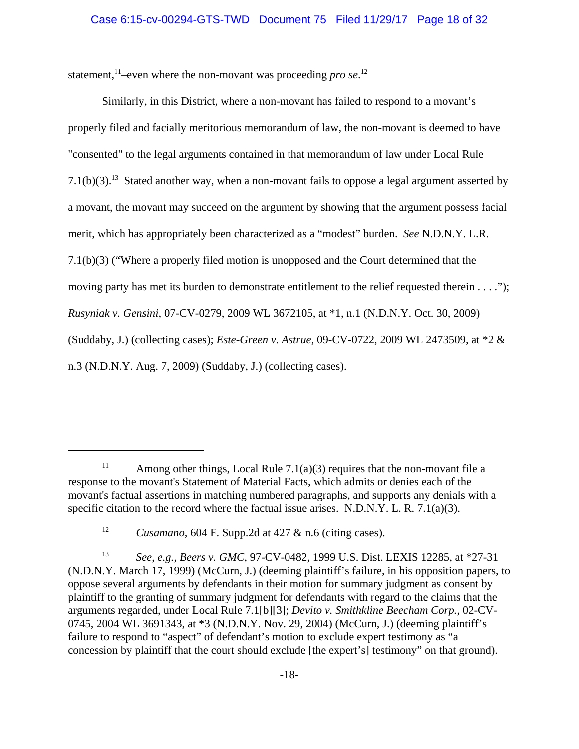statement,<sup>11</sup>-even where the non-movant was proceeding *pro se*.<sup>12</sup>

Similarly, in this District, where a non-movant has failed to respond to a movant's properly filed and facially meritorious memorandum of law, the non-movant is deemed to have "consented" to the legal arguments contained in that memorandum of law under Local Rule 7.1(b)(3).<sup>13</sup> Stated another way, when a non-movant fails to oppose a legal argument asserted by a movant, the movant may succeed on the argument by showing that the argument possess facial merit, which has appropriately been characterized as a "modest" burden. *See* N.D.N.Y. L.R. 7.1(b)(3) ("Where a properly filed motion is unopposed and the Court determined that the moving party has met its burden to demonstrate entitlement to the relief requested therein . . . ."); *Rusyniak v. Gensini*, 07-CV-0279, 2009 WL 3672105, at \*1, n.1 (N.D.N.Y. Oct. 30, 2009) (Suddaby, J.) (collecting cases); *Este-Green v. Astrue*, 09-CV-0722, 2009 WL 2473509, at \*2 & n.3 (N.D.N.Y. Aug. 7, 2009) (Suddaby, J.) (collecting cases).

<sup>&</sup>lt;sup>11</sup> Among other things, Local Rule 7.1(a)(3) requires that the non-movant file a response to the movant's Statement of Material Facts, which admits or denies each of the movant's factual assertions in matching numbered paragraphs, and supports any denials with a specific citation to the record where the factual issue arises. N.D.N.Y. L. R. 7.1(a)(3).

<sup>12</sup> *Cusamano*, 604 F. Supp.2d at 427 & n.6 (citing cases).

<sup>13</sup> *See*, *e.g.*, *Beers v. GMC*, 97-CV-0482, 1999 U.S. Dist. LEXIS 12285, at \*27-31 (N.D.N.Y. March 17, 1999) (McCurn, J.) (deeming plaintiff's failure, in his opposition papers, to oppose several arguments by defendants in their motion for summary judgment as consent by plaintiff to the granting of summary judgment for defendants with regard to the claims that the arguments regarded, under Local Rule 7.1[b][3]; *Devito v. Smithkline Beecham Corp.*, 02-CV-0745, 2004 WL 3691343, at \*3 (N.D.N.Y. Nov. 29, 2004) (McCurn, J.) (deeming plaintiff's failure to respond to "aspect" of defendant's motion to exclude expert testimony as "a concession by plaintiff that the court should exclude [the expert's] testimony" on that ground).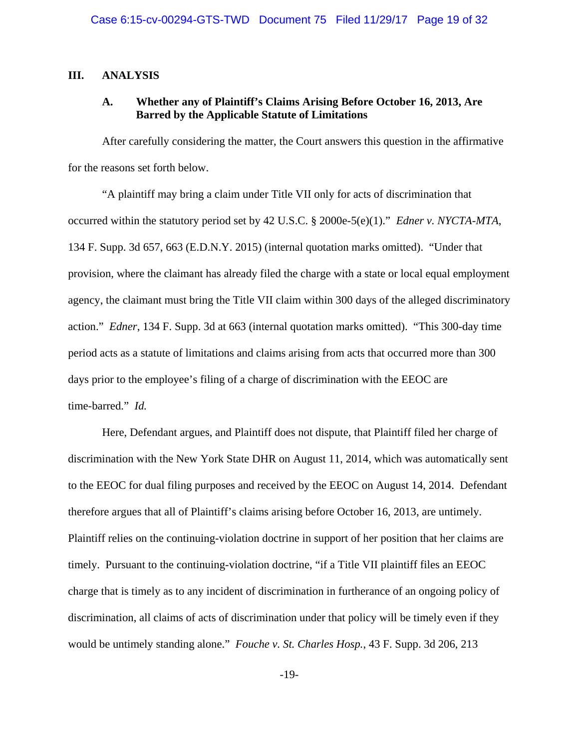## **III. ANALYSIS**

## **A. Whether any of Plaintiff's Claims Arising Before October 16, 2013, Are Barred by the Applicable Statute of Limitations**

After carefully considering the matter, the Court answers this question in the affirmative for the reasons set forth below.

"A plaintiff may bring a claim under Title VII only for acts of discrimination that occurred within the statutory period set by 42 U.S.C. § 2000e-5(e)(1)." *Edner v. NYCTA-MTA*, 134 F. Supp. 3d 657, 663 (E.D.N.Y. 2015) (internal quotation marks omitted). "Under that provision, where the claimant has already filed the charge with a state or local equal employment agency, the claimant must bring the Title VII claim within 300 days of the alleged discriminatory action." *Edner*, 134 F. Supp. 3d at 663 (internal quotation marks omitted). "This 300-day time period acts as a statute of limitations and claims arising from acts that occurred more than 300 days prior to the employee's filing of a charge of discrimination with the EEOC are time-barred." *Id.*

Here, Defendant argues, and Plaintiff does not dispute, that Plaintiff filed her charge of discrimination with the New York State DHR on August 11, 2014, which was automatically sent to the EEOC for dual filing purposes and received by the EEOC on August 14, 2014. Defendant therefore argues that all of Plaintiff's claims arising before October 16, 2013, are untimely. Plaintiff relies on the continuing-violation doctrine in support of her position that her claims are timely. Pursuant to the continuing-violation doctrine, "if a Title VII plaintiff files an EEOC charge that is timely as to any incident of discrimination in furtherance of an ongoing policy of discrimination, all claims of acts of discrimination under that policy will be timely even if they would be untimely standing alone." *Fouche v. St. Charles Hosp.*, 43 F. Supp. 3d 206, 213

-19-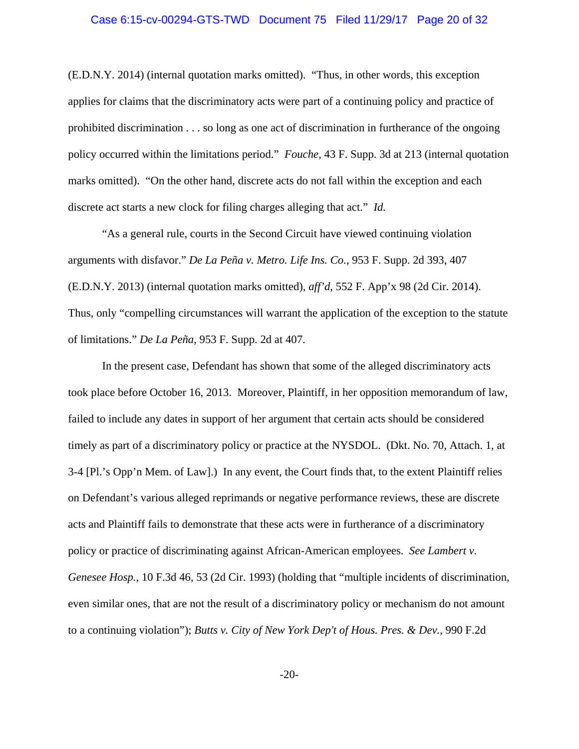## Case 6:15-cv-00294-GTS-TWD Document 75 Filed 11/29/17 Page 20 of 32

(E.D.N.Y. 2014) (internal quotation marks omitted). "Thus, in other words, this exception applies for claims that the discriminatory acts were part of a continuing policy and practice of prohibited discrimination . . . so long as one act of discrimination in furtherance of the ongoing policy occurred within the limitations period." *Fouche*, 43 F. Supp. 3d at 213 (internal quotation marks omitted). "On the other hand, discrete acts do not fall within the exception and each discrete act starts a new clock for filing charges alleging that act." *Id.*

"As a general rule, courts in the Second Circuit have viewed continuing violation arguments with disfavor." *De La Peña v. Metro. Life Ins. Co.*, 953 F. Supp. 2d 393, 407 (E.D.N.Y. 2013) (internal quotation marks omitted), *aff'd*, 552 F. App'x 98 (2d Cir. 2014). Thus, only "compelling circumstances will warrant the application of the exception to the statute of limitations." *De La Peña*, 953 F. Supp. 2d at 407.

In the present case, Defendant has shown that some of the alleged discriminatory acts took place before October 16, 2013. Moreover, Plaintiff, in her opposition memorandum of law, failed to include any dates in support of her argument that certain acts should be considered timely as part of a discriminatory policy or practice at the NYSDOL. (Dkt. No. 70, Attach. 1, at 3-4 [Pl.'s Opp'n Mem. of Law].) In any event, the Court finds that, to the extent Plaintiff relies on Defendant's various alleged reprimands or negative performance reviews, these are discrete acts and Plaintiff fails to demonstrate that these acts were in furtherance of a discriminatory policy or practice of discriminating against African-American employees. *See Lambert v. Genesee Hosp.*, 10 F.3d 46, 53 (2d Cir. 1993) (holding that "multiple incidents of discrimination, even similar ones, that are not the result of a discriminatory policy or mechanism do not amount to a continuing violation"); *Butts v. City of New York Dep't of Hous. Pres. & Dev.*, 990 F.2d

-20-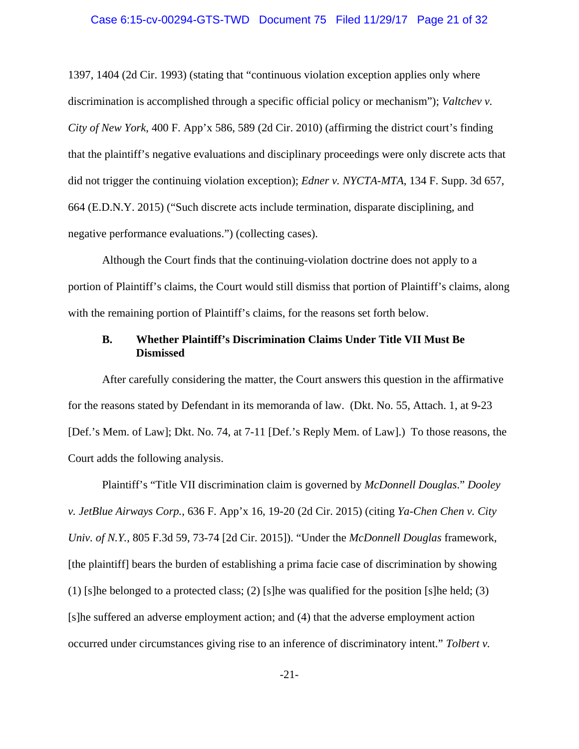## Case 6:15-cv-00294-GTS-TWD Document 75 Filed 11/29/17 Page 21 of 32

1397, 1404 (2d Cir. 1993) (stating that "continuous violation exception applies only where discrimination is accomplished through a specific official policy or mechanism"); *Valtchev v. City of New York*, 400 F. App'x 586, 589 (2d Cir. 2010) (affirming the district court's finding that the plaintiff's negative evaluations and disciplinary proceedings were only discrete acts that did not trigger the continuing violation exception); *Edner v. NYCTA-MTA*, 134 F. Supp. 3d 657, 664 (E.D.N.Y. 2015) ("Such discrete acts include termination, disparate disciplining, and negative performance evaluations.") (collecting cases).

Although the Court finds that the continuing-violation doctrine does not apply to a portion of Plaintiff's claims, the Court would still dismiss that portion of Plaintiff's claims, along with the remaining portion of Plaintiff's claims, for the reasons set forth below.

## **B. Whether Plaintiff's Discrimination Claims Under Title VII Must Be Dismissed**

After carefully considering the matter, the Court answers this question in the affirmative for the reasons stated by Defendant in its memoranda of law. (Dkt. No. 55, Attach. 1, at 9-23 [Def.'s Mem. of Law]; Dkt. No. 74, at 7-11 [Def.'s Reply Mem. of Law].) To those reasons, the Court adds the following analysis.

Plaintiff's "Title VII discrimination claim is governed by *McDonnell Douglas*." *Dooley v. JetBlue Airways Corp.*, 636 F. App'x 16, 19-20 (2d Cir. 2015) (citing *Ya-Chen Chen v. City Univ. of N.Y.*, 805 F.3d 59, 73-74 [2d Cir. 2015]). "Under the *McDonnell Douglas* framework, [the plaintiff] bears the burden of establishing a prima facie case of discrimination by showing (1) [s]he belonged to a protected class; (2) [s]he was qualified for the position [s]he held; (3) [s]he suffered an adverse employment action; and (4) that the adverse employment action occurred under circumstances giving rise to an inference of discriminatory intent." *Tolbert v.*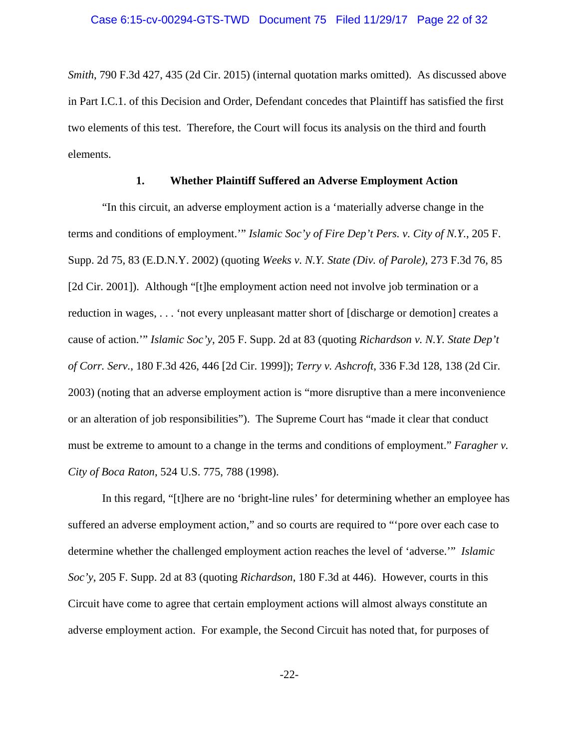*Smith*, 790 F.3d 427, 435 (2d Cir. 2015) (internal quotation marks omitted). As discussed above in Part I.C.1. of this Decision and Order, Defendant concedes that Plaintiff has satisfied the first two elements of this test. Therefore, the Court will focus its analysis on the third and fourth elements.

#### **1. Whether Plaintiff Suffered an Adverse Employment Action**

"In this circuit, an adverse employment action is a 'materially adverse change in the terms and conditions of employment.'" *Islamic Soc'y of Fire Dep't Pers. v. City of N.Y.*, 205 F. Supp. 2d 75, 83 (E.D.N.Y. 2002) (quoting *Weeks v. N.Y. State (Div. of Parole)*, 273 F.3d 76, 85 [2d Cir. 2001]). Although "[t]he employment action need not involve job termination or a reduction in wages, . . . 'not every unpleasant matter short of [discharge or demotion] creates a cause of action.'" *Islamic Soc'y*, 205 F. Supp. 2d at 83 (quoting *Richardson v. N.Y. State Dep't of Corr. Serv.*, 180 F.3d 426, 446 [2d Cir. 1999]); *Terry v. Ashcroft*, 336 F.3d 128, 138 (2d Cir. 2003) (noting that an adverse employment action is "more disruptive than a mere inconvenience or an alteration of job responsibilities"). The Supreme Court has "made it clear that conduct must be extreme to amount to a change in the terms and conditions of employment." *Faragher v. City of Boca Raton*, 524 U.S. 775, 788 (1998).

In this regard, "[t]here are no 'bright-line rules' for determining whether an employee has suffered an adverse employment action," and so courts are required to "'pore over each case to determine whether the challenged employment action reaches the level of 'adverse.'" *Islamic Soc'y*, 205 F. Supp. 2d at 83 (quoting *Richardson*, 180 F.3d at 446). However, courts in this Circuit have come to agree that certain employment actions will almost always constitute an adverse employment action. For example, the Second Circuit has noted that, for purposes of

-22-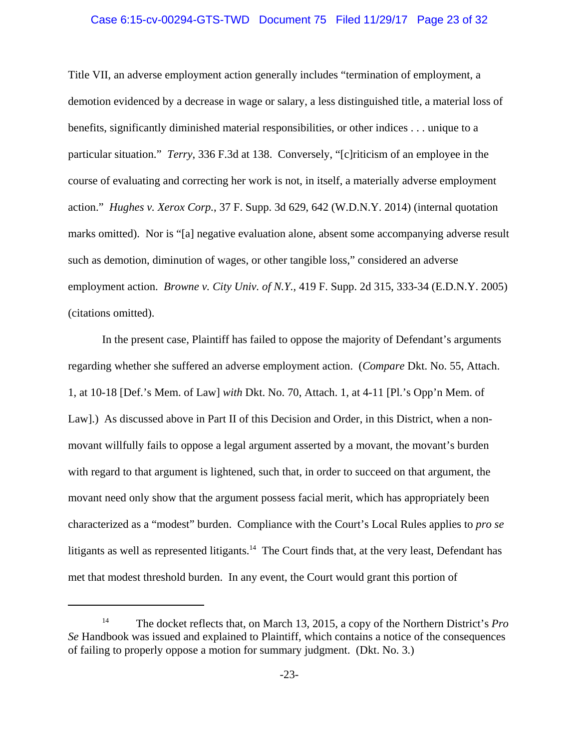#### Case 6:15-cv-00294-GTS-TWD Document 75 Filed 11/29/17 Page 23 of 32

Title VII, an adverse employment action generally includes "termination of employment, a demotion evidenced by a decrease in wage or salary, a less distinguished title, a material loss of benefits, significantly diminished material responsibilities, or other indices . . . unique to a particular situation." *Terry*, 336 F.3d at 138. Conversely, "[c]riticism of an employee in the course of evaluating and correcting her work is not, in itself, a materially adverse employment action." *Hughes v. Xerox Corp.*, 37 F. Supp. 3d 629, 642 (W.D.N.Y. 2014) (internal quotation marks omitted). Nor is "[a] negative evaluation alone, absent some accompanying adverse result such as demotion, diminution of wages, or other tangible loss," considered an adverse employment action. *Browne v. City Univ. of N.Y.*, 419 F. Supp. 2d 315, 333-34 (E.D.N.Y. 2005) (citations omitted).

In the present case, Plaintiff has failed to oppose the majority of Defendant's arguments regarding whether she suffered an adverse employment action. (*Compare* Dkt. No. 55, Attach. 1, at 10-18 [Def.'s Mem. of Law] *with* Dkt. No. 70, Attach. 1, at 4-11 [Pl.'s Opp'n Mem. of Law].) As discussed above in Part II of this Decision and Order, in this District, when a nonmovant willfully fails to oppose a legal argument asserted by a movant, the movant's burden with regard to that argument is lightened, such that, in order to succeed on that argument, the movant need only show that the argument possess facial merit, which has appropriately been characterized as a "modest" burden. Compliance with the Court's Local Rules applies to *pro se* litigants as well as represented litigants.<sup>14</sup> The Court finds that, at the very least, Defendant has met that modest threshold burden. In any event, the Court would grant this portion of

<sup>14</sup> The docket reflects that, on March 13, 2015, a copy of the Northern District's *Pro Se* Handbook was issued and explained to Plaintiff, which contains a notice of the consequences of failing to properly oppose a motion for summary judgment. (Dkt. No. 3.)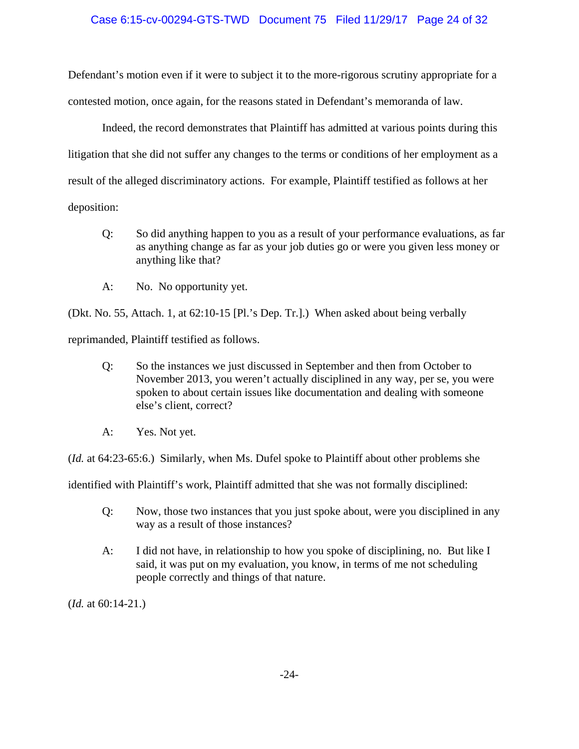## Case 6:15-cv-00294-GTS-TWD Document 75 Filed 11/29/17 Page 24 of 32

Defendant's motion even if it were to subject it to the more-rigorous scrutiny appropriate for a contested motion, once again, for the reasons stated in Defendant's memoranda of law.

Indeed, the record demonstrates that Plaintiff has admitted at various points during this litigation that she did not suffer any changes to the terms or conditions of her employment as a result of the alleged discriminatory actions. For example, Plaintiff testified as follows at her deposition:

- Q: So did anything happen to you as a result of your performance evaluations, as far as anything change as far as your job duties go or were you given less money or anything like that?
- A: No. No opportunity yet.

(Dkt. No. 55, Attach. 1, at 62:10-15 [Pl.'s Dep. Tr.].) When asked about being verbally

reprimanded, Plaintiff testified as follows.

- Q: So the instances we just discussed in September and then from October to November 2013, you weren't actually disciplined in any way, per se, you were spoken to about certain issues like documentation and dealing with someone else's client, correct?
- A: Yes. Not yet.

(*Id.* at 64:23-65:6.) Similarly, when Ms. Dufel spoke to Plaintiff about other problems she

identified with Plaintiff's work, Plaintiff admitted that she was not formally disciplined:

- Q: Now, those two instances that you just spoke about, were you disciplined in any way as a result of those instances?
- A: I did not have, in relationship to how you spoke of disciplining, no. But like I said, it was put on my evaluation, you know, in terms of me not scheduling people correctly and things of that nature.

(*Id.* at 60:14-21.)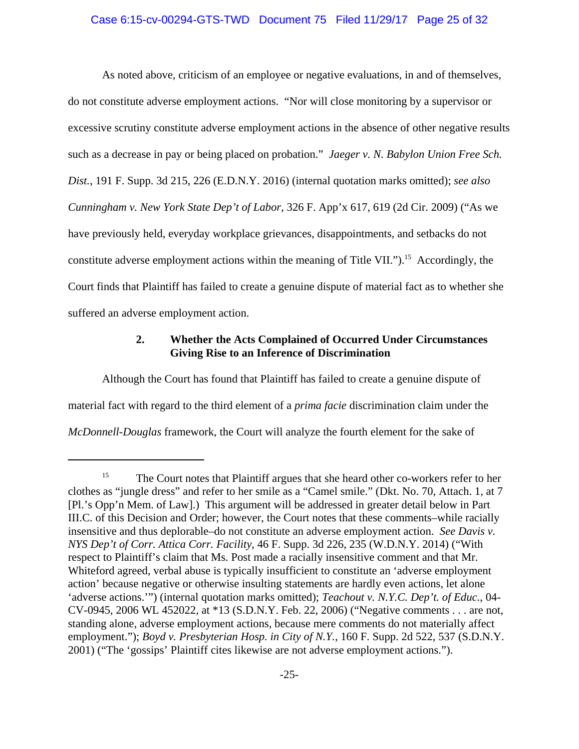## Case 6:15-cv-00294-GTS-TWD Document 75 Filed 11/29/17 Page 25 of 32

As noted above, criticism of an employee or negative evaluations, in and of themselves, do not constitute adverse employment actions. "Nor will close monitoring by a supervisor or excessive scrutiny constitute adverse employment actions in the absence of other negative results such as a decrease in pay or being placed on probation." *Jaeger v. N. Babylon Union Free Sch. Dist.*, 191 F. Supp. 3d 215, 226 (E.D.N.Y. 2016) (internal quotation marks omitted); *see also Cunningham v. New York State Dep't of Labor*, 326 F. App'x 617, 619 (2d Cir. 2009) ("As we have previously held, everyday workplace grievances, disappointments, and setbacks do not constitute adverse employment actions within the meaning of Title VII." $)$ .<sup>15</sup> Accordingly, the Court finds that Plaintiff has failed to create a genuine dispute of material fact as to whether she suffered an adverse employment action.

# **2. Whether the Acts Complained of Occurred Under Circumstances Giving Rise to an Inference of Discrimination**

Although the Court has found that Plaintiff has failed to create a genuine dispute of material fact with regard to the third element of a *prima facie* discrimination claim under the *McDonnell-Douglas* framework, the Court will analyze the fourth element for the sake of

<sup>&</sup>lt;sup>15</sup> The Court notes that Plaintiff argues that she heard other co-workers refer to her clothes as "jungle dress" and refer to her smile as a "Camel smile." (Dkt. No. 70, Attach. 1, at 7 [Pl.'s Opp'n Mem. of Law].) This argument will be addressed in greater detail below in Part III.C. of this Decision and Order; however, the Court notes that these comments–while racially insensitive and thus deplorable–do not constitute an adverse employment action. *See Davis v. NYS Dep't of Corr. Attica Corr. Facility*, 46 F. Supp. 3d 226, 235 (W.D.N.Y. 2014) ("With respect to Plaintiff's claim that Ms. Post made a racially insensitive comment and that Mr. Whiteford agreed, verbal abuse is typically insufficient to constitute an 'adverse employment action' because negative or otherwise insulting statements are hardly even actions, let alone 'adverse actions.'") (internal quotation marks omitted); *Teachout v. N.Y.C. Dep't. of Educ.*, 04- CV-0945, 2006 WL 452022, at \*13 (S.D.N.Y. Feb. 22, 2006) ("Negative comments . . . are not, standing alone, adverse employment actions, because mere comments do not materially affect employment."); *Boyd v. Presbyterian Hosp. in City of N.Y.*, 160 F. Supp. 2d 522, 537 (S.D.N.Y. 2001) ("The 'gossips' Plaintiff cites likewise are not adverse employment actions.").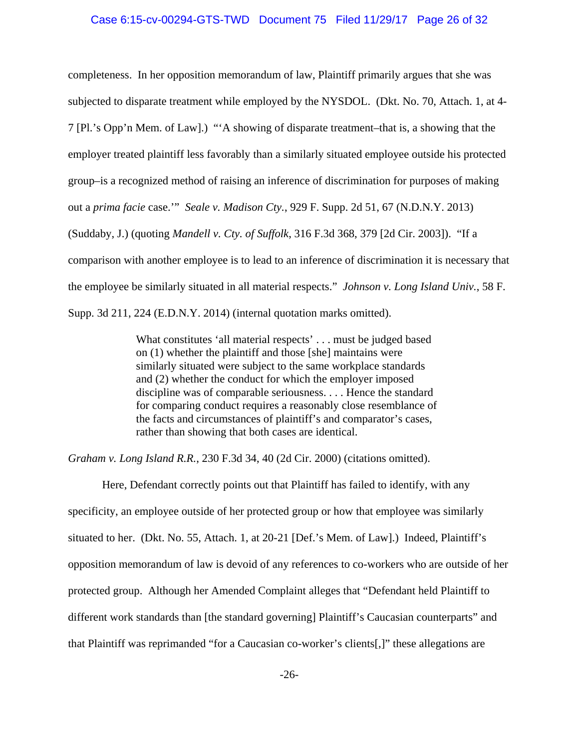#### Case 6:15-cv-00294-GTS-TWD Document 75 Filed 11/29/17 Page 26 of 32

completeness. In her opposition memorandum of law, Plaintiff primarily argues that she was subjected to disparate treatment while employed by the NYSDOL. (Dkt. No. 70, Attach. 1, at 4- 7 [Pl.'s Opp'n Mem. of Law].) "'A showing of disparate treatment–that is, a showing that the employer treated plaintiff less favorably than a similarly situated employee outside his protected group–is a recognized method of raising an inference of discrimination for purposes of making out a *prima facie* case.'" *Seale v. Madison Cty.*, 929 F. Supp. 2d 51, 67 (N.D.N.Y. 2013) (Suddaby, J.) (quoting *Mandell v. Cty. of Suffolk*, 316 F.3d 368, 379 [2d Cir. 2003]). "If a comparison with another employee is to lead to an inference of discrimination it is necessary that the employee be similarly situated in all material respects." *Johnson v. Long Island Univ.*, 58 F. Supp. 3d 211, 224 (E.D.N.Y. 2014) (internal quotation marks omitted).

> What constitutes 'all material respects' . . . must be judged based on (1) whether the plaintiff and those [she] maintains were similarly situated were subject to the same workplace standards and (2) whether the conduct for which the employer imposed discipline was of comparable seriousness. . . . Hence the standard for comparing conduct requires a reasonably close resemblance of the facts and circumstances of plaintiff's and comparator's cases, rather than showing that both cases are identical.

*Graham v. Long Island R.R.*, 230 F.3d 34, 40 (2d Cir. 2000) (citations omitted).

Here, Defendant correctly points out that Plaintiff has failed to identify, with any specificity, an employee outside of her protected group or how that employee was similarly situated to her. (Dkt. No. 55, Attach. 1, at 20-21 [Def.'s Mem. of Law].) Indeed, Plaintiff's opposition memorandum of law is devoid of any references to co-workers who are outside of her protected group. Although her Amended Complaint alleges that "Defendant held Plaintiff to different work standards than [the standard governing] Plaintiff's Caucasian counterparts" and that Plaintiff was reprimanded "for a Caucasian co-worker's clients[,]" these allegations are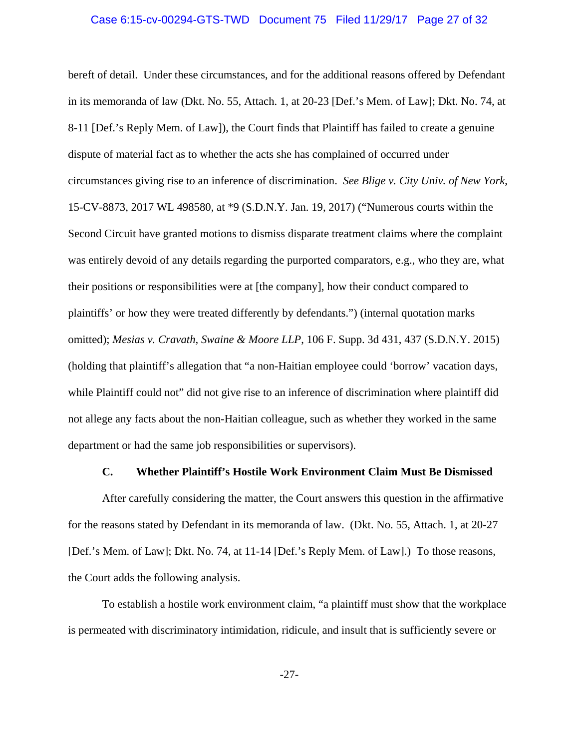## Case 6:15-cv-00294-GTS-TWD Document 75 Filed 11/29/17 Page 27 of 32

bereft of detail. Under these circumstances, and for the additional reasons offered by Defendant in its memoranda of law (Dkt. No. 55, Attach. 1, at 20-23 [Def.'s Mem. of Law]; Dkt. No. 74, at 8-11 [Def.'s Reply Mem. of Law]), the Court finds that Plaintiff has failed to create a genuine dispute of material fact as to whether the acts she has complained of occurred under circumstances giving rise to an inference of discrimination. *See Blige v. City Univ. of New York*, 15-CV-8873, 2017 WL 498580, at \*9 (S.D.N.Y. Jan. 19, 2017) ("Numerous courts within the Second Circuit have granted motions to dismiss disparate treatment claims where the complaint was entirely devoid of any details regarding the purported comparators, e.g., who they are, what their positions or responsibilities were at [the company], how their conduct compared to plaintiffs' or how they were treated differently by defendants.") (internal quotation marks omitted); *Mesias v. Cravath, Swaine & Moore LLP*, 106 F. Supp. 3d 431, 437 (S.D.N.Y. 2015) (holding that plaintiff's allegation that "a non-Haitian employee could 'borrow' vacation days, while Plaintiff could not" did not give rise to an inference of discrimination where plaintiff did not allege any facts about the non-Haitian colleague, such as whether they worked in the same department or had the same job responsibilities or supervisors).

## **C. Whether Plaintiff's Hostile Work Environment Claim Must Be Dismissed**

After carefully considering the matter, the Court answers this question in the affirmative for the reasons stated by Defendant in its memoranda of law. (Dkt. No. 55, Attach. 1, at 20-27 [Def.'s Mem. of Law]; Dkt. No. 74, at 11-14 [Def.'s Reply Mem. of Law].) To those reasons, the Court adds the following analysis.

To establish a hostile work environment claim, "a plaintiff must show that the workplace is permeated with discriminatory intimidation, ridicule, and insult that is sufficiently severe or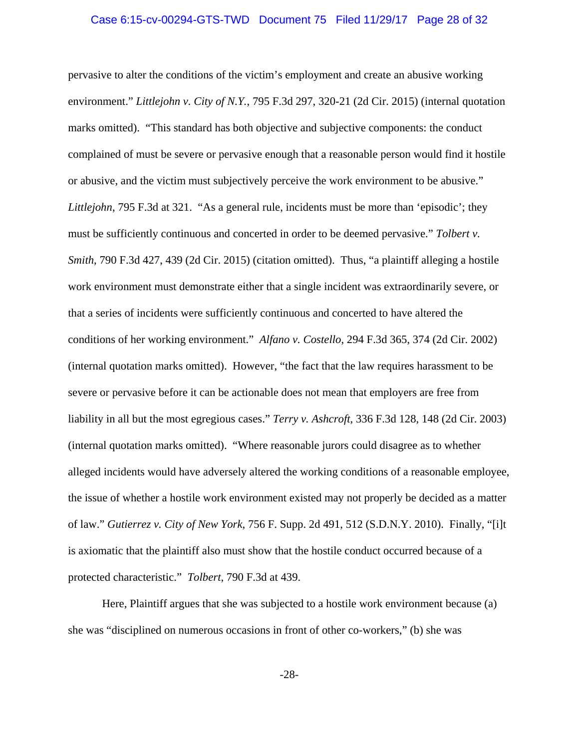## Case 6:15-cv-00294-GTS-TWD Document 75 Filed 11/29/17 Page 28 of 32

pervasive to alter the conditions of the victim's employment and create an abusive working environment." *Littlejohn v. City of N.Y.*, 795 F.3d 297, 320-21 (2d Cir. 2015) (internal quotation marks omitted). "This standard has both objective and subjective components: the conduct complained of must be severe or pervasive enough that a reasonable person would find it hostile or abusive, and the victim must subjectively perceive the work environment to be abusive." *Littlejohn*, 795 F.3d at 321. "As a general rule, incidents must be more than 'episodic'; they must be sufficiently continuous and concerted in order to be deemed pervasive." *Tolbert v. Smith*, 790 F.3d 427, 439 (2d Cir. 2015) (citation omitted). Thus, "a plaintiff alleging a hostile work environment must demonstrate either that a single incident was extraordinarily severe, or that a series of incidents were sufficiently continuous and concerted to have altered the conditions of her working environment." *Alfano v. Costello*, 294 F.3d 365, 374 (2d Cir. 2002) (internal quotation marks omitted). However, "the fact that the law requires harassment to be severe or pervasive before it can be actionable does not mean that employers are free from liability in all but the most egregious cases." *Terry v. Ashcroft*, 336 F.3d 128, 148 (2d Cir. 2003) (internal quotation marks omitted). "Where reasonable jurors could disagree as to whether alleged incidents would have adversely altered the working conditions of a reasonable employee, the issue of whether a hostile work environment existed may not properly be decided as a matter of law." *Gutierrez v. City of New York*, 756 F. Supp. 2d 491, 512 (S.D.N.Y. 2010). Finally, "[i]t is axiomatic that the plaintiff also must show that the hostile conduct occurred because of a protected characteristic." *Tolbert*, 790 F.3d at 439.

Here, Plaintiff argues that she was subjected to a hostile work environment because (a) she was "disciplined on numerous occasions in front of other co-workers," (b) she was

-28-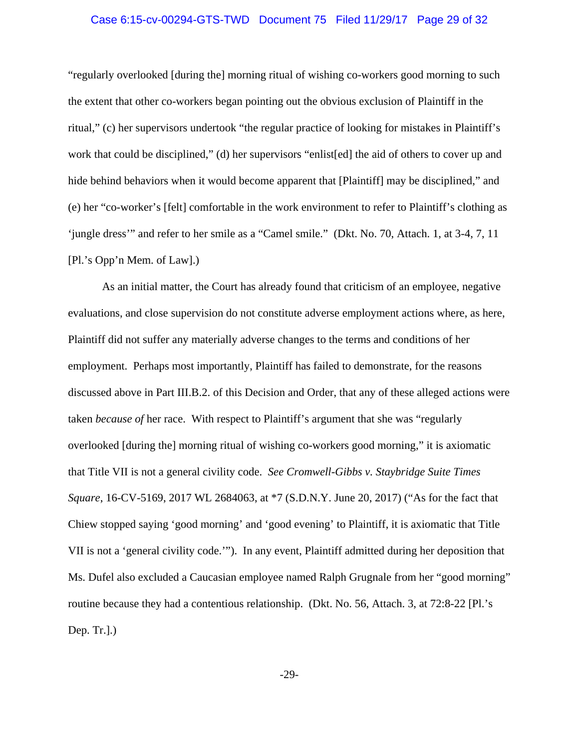## Case 6:15-cv-00294-GTS-TWD Document 75 Filed 11/29/17 Page 29 of 32

"regularly overlooked [during the] morning ritual of wishing co-workers good morning to such the extent that other co-workers began pointing out the obvious exclusion of Plaintiff in the ritual," (c) her supervisors undertook "the regular practice of looking for mistakes in Plaintiff's work that could be disciplined," (d) her supervisors "enlist[ed] the aid of others to cover up and hide behind behaviors when it would become apparent that [Plaintiff] may be disciplined," and (e) her "co-worker's [felt] comfortable in the work environment to refer to Plaintiff's clothing as 'jungle dress'" and refer to her smile as a "Camel smile." (Dkt. No. 70, Attach. 1, at 3-4, 7, 11 [Pl.'s Opp'n Mem. of Law].)

As an initial matter, the Court has already found that criticism of an employee, negative evaluations, and close supervision do not constitute adverse employment actions where, as here, Plaintiff did not suffer any materially adverse changes to the terms and conditions of her employment. Perhaps most importantly, Plaintiff has failed to demonstrate, for the reasons discussed above in Part III.B.2. of this Decision and Order, that any of these alleged actions were taken *because of* her race. With respect to Plaintiff's argument that she was "regularly overlooked [during the] morning ritual of wishing co-workers good morning," it is axiomatic that Title VII is not a general civility code. *See Cromwell-Gibbs v. Staybridge Suite Times Square*, 16-CV-5169, 2017 WL 2684063, at \*7 (S.D.N.Y. June 20, 2017) ("As for the fact that Chiew stopped saying 'good morning' and 'good evening' to Plaintiff, it is axiomatic that Title VII is not a 'general civility code.'"). In any event, Plaintiff admitted during her deposition that Ms. Dufel also excluded a Caucasian employee named Ralph Grugnale from her "good morning" routine because they had a contentious relationship. (Dkt. No. 56, Attach. 3, at 72:8-22 [Pl.'s Dep. Tr.].)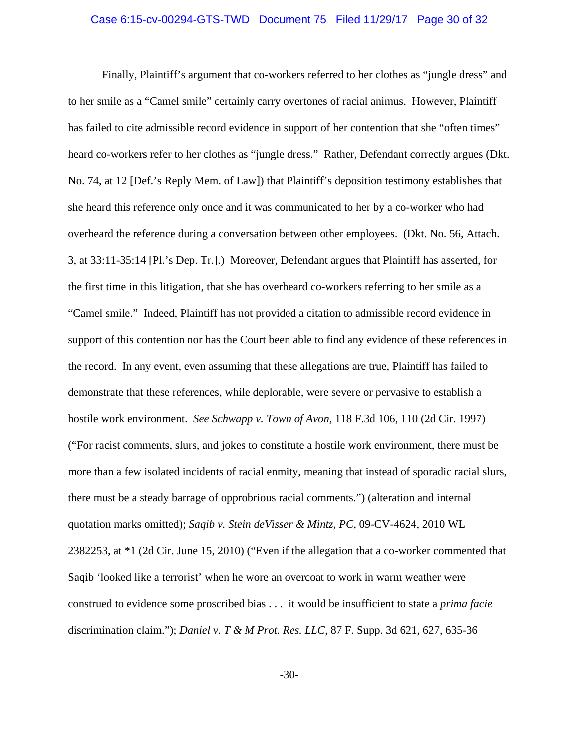## Case 6:15-cv-00294-GTS-TWD Document 75 Filed 11/29/17 Page 30 of 32

Finally, Plaintiff's argument that co-workers referred to her clothes as "jungle dress" and to her smile as a "Camel smile" certainly carry overtones of racial animus. However, Plaintiff has failed to cite admissible record evidence in support of her contention that she "often times" heard co-workers refer to her clothes as "jungle dress." Rather, Defendant correctly argues (Dkt. No. 74, at 12 [Def.'s Reply Mem. of Law]) that Plaintiff's deposition testimony establishes that she heard this reference only once and it was communicated to her by a co-worker who had overheard the reference during a conversation between other employees. (Dkt. No. 56, Attach. 3, at 33:11-35:14 [Pl.'s Dep. Tr.].) Moreover, Defendant argues that Plaintiff has asserted, for the first time in this litigation, that she has overheard co-workers referring to her smile as a "Camel smile." Indeed, Plaintiff has not provided a citation to admissible record evidence in support of this contention nor has the Court been able to find any evidence of these references in the record. In any event, even assuming that these allegations are true, Plaintiff has failed to demonstrate that these references, while deplorable, were severe or pervasive to establish a hostile work environment. *See Schwapp v. Town of Avon*, 118 F.3d 106, 110 (2d Cir. 1997) ("For racist comments, slurs, and jokes to constitute a hostile work environment, there must be more than a few isolated incidents of racial enmity, meaning that instead of sporadic racial slurs, there must be a steady barrage of opprobrious racial comments.") (alteration and internal quotation marks omitted); *Saqib v. Stein deVisser & Mintz, PC*, 09-CV-4624, 2010 WL 2382253, at \*1 (2d Cir. June 15, 2010) ("Even if the allegation that a co-worker commented that Saqib 'looked like a terrorist' when he wore an overcoat to work in warm weather were construed to evidence some proscribed bias . . . it would be insufficient to state a *prima facie* discrimination claim."); *Daniel v. T & M Prot. Res. LLC*, 87 F. Supp. 3d 621, 627, 635-36

-30-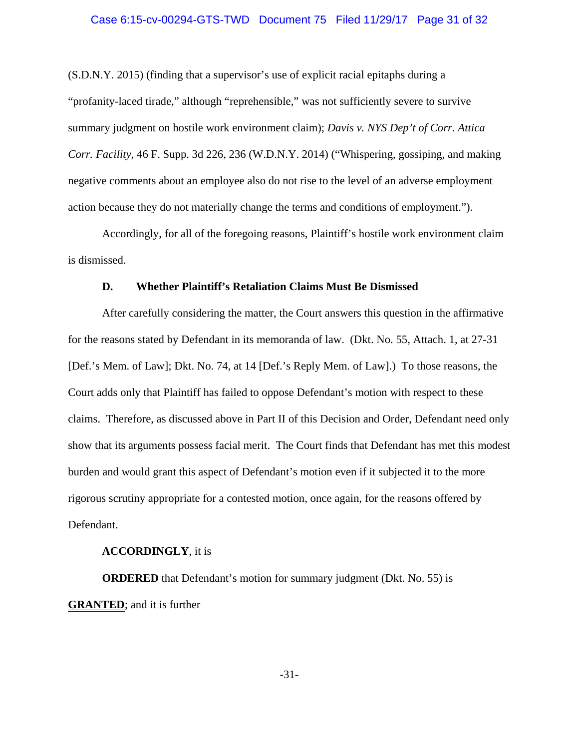## Case 6:15-cv-00294-GTS-TWD Document 75 Filed 11/29/17 Page 31 of 32

(S.D.N.Y. 2015) (finding that a supervisor's use of explicit racial epitaphs during a "profanity-laced tirade," although "reprehensible," was not sufficiently severe to survive summary judgment on hostile work environment claim); *Davis v. NYS Dep't of Corr. Attica Corr. Facility*, 46 F. Supp. 3d 226, 236 (W.D.N.Y. 2014) ("Whispering, gossiping, and making negative comments about an employee also do not rise to the level of an adverse employment action because they do not materially change the terms and conditions of employment.").

Accordingly, for all of the foregoing reasons, Plaintiff's hostile work environment claim is dismissed.

## **D. Whether Plaintiff's Retaliation Claims Must Be Dismissed**

After carefully considering the matter, the Court answers this question in the affirmative for the reasons stated by Defendant in its memoranda of law. (Dkt. No. 55, Attach. 1, at 27-31 [Def.'s Mem. of Law]; Dkt. No. 74, at 14 [Def.'s Reply Mem. of Law].) To those reasons, the Court adds only that Plaintiff has failed to oppose Defendant's motion with respect to these claims. Therefore, as discussed above in Part II of this Decision and Order, Defendant need only show that its arguments possess facial merit. The Court finds that Defendant has met this modest burden and would grant this aspect of Defendant's motion even if it subjected it to the more rigorous scrutiny appropriate for a contested motion, once again, for the reasons offered by Defendant.

## **ACCORDINGLY**, it is

**ORDERED** that Defendant's motion for summary judgment (Dkt. No. 55) is **GRANTED**; and it is further